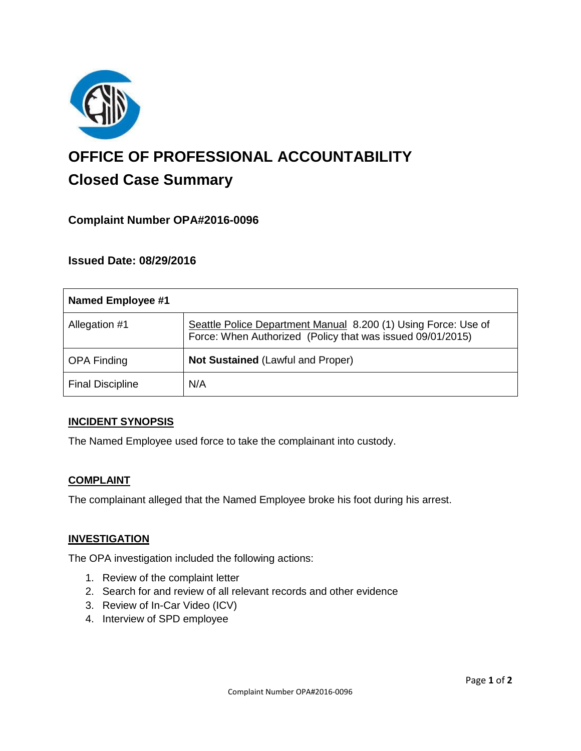

# **OFFICE OF PROFESSIONAL ACCOUNTABILITY Closed Case Summary**

# **Complaint Number OPA#2016-0096**

# **Issued Date: 08/29/2016**

| <b>Named Employee #1</b> |                                                                                                                              |
|--------------------------|------------------------------------------------------------------------------------------------------------------------------|
| Allegation #1            | Seattle Police Department Manual 8.200 (1) Using Force: Use of<br>Force: When Authorized (Policy that was issued 09/01/2015) |
| <b>OPA Finding</b>       | <b>Not Sustained (Lawful and Proper)</b>                                                                                     |
| <b>Final Discipline</b>  | N/A                                                                                                                          |

## **INCIDENT SYNOPSIS**

The Named Employee used force to take the complainant into custody.

## **COMPLAINT**

The complainant alleged that the Named Employee broke his foot during his arrest.

#### **INVESTIGATION**

The OPA investigation included the following actions:

- 1. Review of the complaint letter
- 2. Search for and review of all relevant records and other evidence
- 3. Review of In-Car Video (ICV)
- 4. Interview of SPD employee